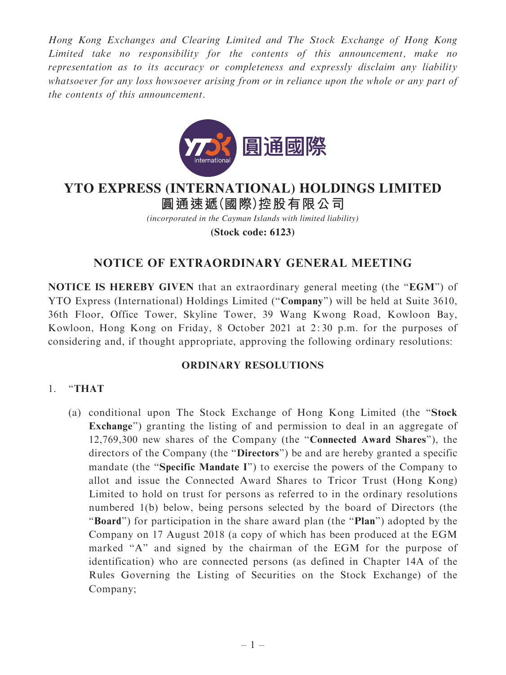Hong Kong Exchanges and Clearing Limited and The Stock Exchange of Hong Kong Limited take no responsibility for the contents of this announcement, make no representation as to its accuracy or completeness and expressly disclaim any liability whatsoever for any loss howsoever arising from or in reliance upon the whole or any part of the contents of this announcement.



# **圓通速遞(國際)控股有限公司 YTO EXPRESS (INTERNATIONAL) HOLDINGS LIMITED**

*(incorporated in the Cayman Islands with limited liability)*

**(Stock code: 6123)**

## NOTICE OF EXTRAORDINARY GENERAL MEETING

NOTICE IS HEREBY GIVEN that an extraordinary general meeting (the "EGM") of YTO Express (International) Holdings Limited (''Company'') will be held at Suite 3610, 36th Floor, Office Tower, Skyline Tower, 39 Wang Kwong Road, Kowloon Bay, Kowloon, Hong Kong on Friday, 8 October 2021 at 2: 30 p.m. for the purposes of considering and, if thought appropriate, approving the following ordinary resolutions:

### ORDINARY RESOLUTIONS

## 1. ''THAT

(a) conditional upon The Stock Exchange of Hong Kong Limited (the ''Stock Exchange") granting the listing of and permission to deal in an aggregate of 12,769,300 new shares of the Company (the ''Connected Award Shares''), the directors of the Company (the ''Directors'') be and are hereby granted a specific mandate (the "Specific Mandate I") to exercise the powers of the Company to allot and issue the Connected Award Shares to Tricor Trust (Hong Kong) Limited to hold on trust for persons as referred to in the ordinary resolutions numbered 1(b) below, being persons selected by the board of Directors (the "Board") for participation in the share award plan (the "Plan") adopted by the Company on 17 August 2018 (a copy of which has been produced at the EGM marked "A" and signed by the chairman of the EGM for the purpose of identification) who are connected persons (as defined in Chapter 14A of the Rules Governing the Listing of Securities on the Stock Exchange) of the Company;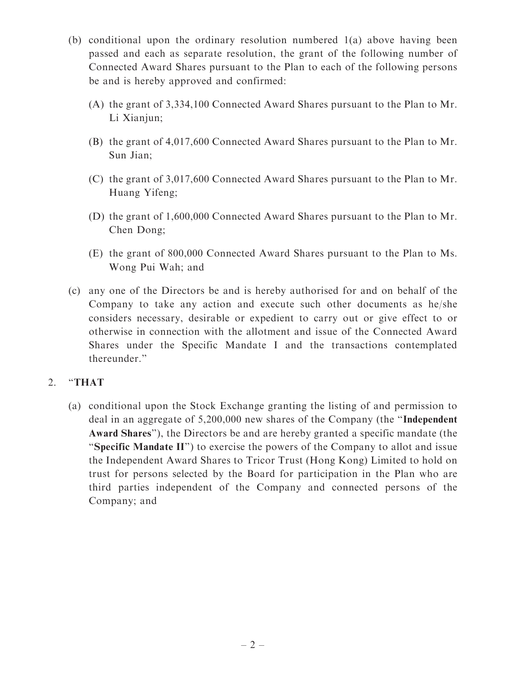- (b) conditional upon the ordinary resolution numbered 1(a) above having been passed and each as separate resolution, the grant of the following number of Connected Award Shares pursuant to the Plan to each of the following persons be and is hereby approved and confirmed:
	- (A) the grant of 3,334,100 Connected Award Shares pursuant to the Plan to Mr. Li Xianjun;
	- (B) the grant of 4,017,600 Connected Award Shares pursuant to the Plan to Mr. Sun Jian;
	- (C) the grant of 3,017,600 Connected Award Shares pursuant to the Plan to Mr. Huang Yifeng;
	- (D) the grant of 1,600,000 Connected Award Shares pursuant to the Plan to Mr. Chen Dong;
	- (E) the grant of 800,000 Connected Award Shares pursuant to the Plan to Ms. Wong Pui Wah; and
- (c) any one of the Directors be and is hereby authorised for and on behalf of the Company to take any action and execute such other documents as he/she considers necessary, desirable or expedient to carry out or give effect to or otherwise in connection with the allotment and issue of the Connected Award Shares under the Specific Mandate I and the transactions contemplated thereunder.''

## 2. "THAT

(a) conditional upon the Stock Exchange granting the listing of and permission to deal in an aggregate of 5,200,000 new shares of the Company (the ''Independent Award Shares''), the Directors be and are hereby granted a specific mandate (the ''Specific Mandate II'') to exercise the powers of the Company to allot and issue the Independent Award Shares to Tricor Trust (Hong Kong) Limited to hold on trust for persons selected by the Board for participation in the Plan who are third parties independent of the Company and connected persons of the Company; and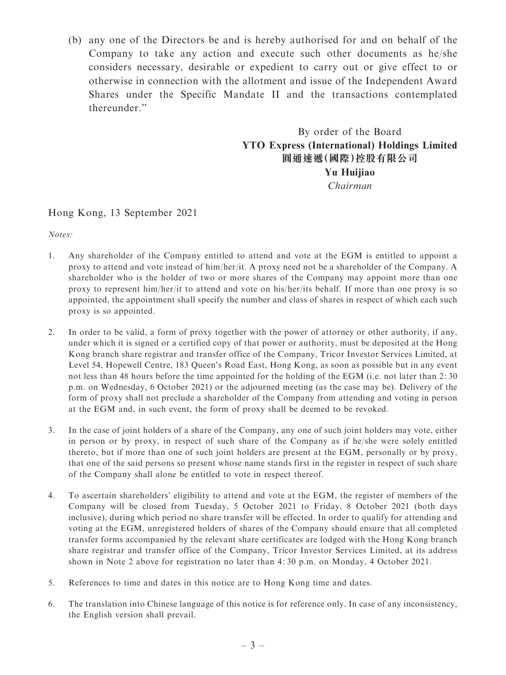(b) any one of the Directors be and is hereby authorised for and on behalf of the Company to take any action and execute such other documents as he/she considers necessary, desirable or expedient to carry out or give effect to or otherwise in connection with the allotment and issue of the Independent Award Shares under the Specific Mandate II and the transactions contemplated thereunder.''

> By order of the Board YTO Express (International) Holdings Limited 圓通速遞(國際)控股有限公司 Yu Huijiao Chairman

#### Hong Kong, 13 September 2021

Notes:

- 1. Any shareholder of the Company entitled to attend and vote at the EGM is entitled to appoint a proxy to attend and vote instead of him/her/it. A proxy need not be a shareholder of the Company. A shareholder who is the holder of two or more shares of the Company may appoint more than one proxy to represent him/her/it to attend and vote on his/her/its behalf. If more than one proxy is so appointed, the appointment shall specify the number and class of shares in respect of which each such proxy is so appointed.
- 2. In order to be valid, a form of proxy together with the power of attorney or other authority, if any, under which it is signed or a certified copy of that power or authority, must be deposited at the Hong Kong branch share registrar and transfer office of the Company, Tricor Investor Services Limited, at Level 54, Hopewell Centre, 183 Queen's Road East, Hong Kong, as soon as possible but in any event not less than 48 hours before the time appointed for the holding of the EGM (i.e. not later than 2: 30 p.m. on Wednesday, 6 October 2021) or the adjourned meeting (as the case may be). Delivery of the form of proxy shall not preclude a shareholder of the Company from attending and voting in person at the EGM and, in such event, the form of proxy shall be deemed to be revoked.
- 3. In the case of joint holders of a share of the Company, any one of such joint holders may vote, either in person or by proxy, in respect of such share of the Company as if he/she were solely entitled thereto, but if more than one of such joint holders are present at the EGM, personally or by proxy, that one of the said persons so present whose name stands first in the register in respect of such share of the Company shall alone be entitled to vote in respect thereof.
- 4. To ascertain shareholders' eligibility to attend and vote at the EGM, the register of members of the Company will be closed from Tuesday, 5 October 2021 to Friday, 8 October 2021 (both days inclusive), during which period no share transfer will be effected. In order to qualify for attending and voting at the EGM, unregistered holders of shares of the Company should ensure that all completed transfer forms accompanied by the relevant share certificates are lodged with the Hong Kong branch share registrar and transfer office of the Company, Tricor Investor Services Limited, at its address shown in Note 2 above for registration no later than 4: 30 p.m. on Monday, 4 October 2021.
- 5. References to time and dates in this notice are to Hong Kong time and dates.
- 6. The translation into Chinese language of this notice is for reference only. In case of any inconsistency, the English version shall prevail.